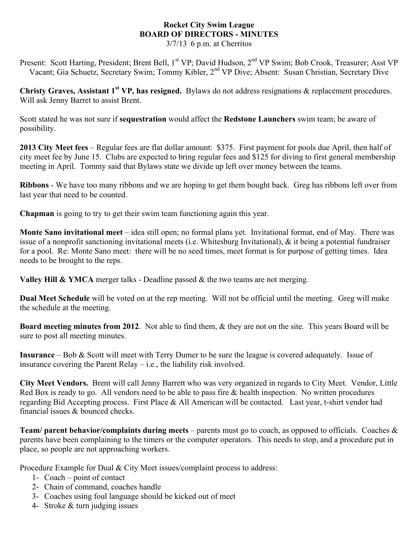## **Rocket City Swim League BOARD OF DIRECTORS - MINUTES**

3/7/13 6 p.m. at Cherritos

Present: Scott Harting, President; Brent Bell, 1<sup>st</sup> VP; David Hudson, 2<sup>nd</sup> VP Swim; Bob Crook, Treasurer; Asst VP Vacant; Gia Schuetz, Secretary Swim; Tommy Kibler, 2nd VP Dive; Absent: Susan Christian, Secretary Dive

**Christy Graves, Assistant 1st VP, has resigned.** Bylaws do not address resignations & replacement procedures. Will ask Jenny Barret to assist Brent.

Scott stated he was not sure if **sequestration** would affect the **Redstone Launchers** swim team; be aware of possibility.

**2013 City Meet fees** – Regular fees are flat dollar amount: \$375. First payment for pools due April, then half of city meet fee by June 15. Clubs are expected to bring regular fees and \$125 for diving to first general membership meeting in April. Tommy said that Bylaws state we divide up left over money between the teams.

**Ribbons** - We have too many ribbons and we are hoping to get them bought back. Greg has ribbons left over from last year that need to be counted.

**Chapman** is going to try to get their swim team functioning again this year.

**Monte Sano invitational meet** – idea still open; no formal plans yet. Invitational format, end of May. There was issue of a nonprofit sanctioning invitational meets (i.e. Whitesburg Invitational), & it being a potential fundraiser for a pool. Re: Monte Sano meet: there will be no seed times, meet format is for purpose of getting times. Idea needs to be brought to the reps.

**Valley Hill & YMCA** merger talks - Deadline passed & the two teams are not merging.

**Dual Meet Schedule** will be voted on at the rep meeting. Will not be official until the meeting. Greg will make the schedule at the meeting.

**Board meeting minutes from 2012**. Not able to find them, & they are not on the site. This years Board will be sure to post all meeting minutes.

**Insurance** – Bob & Scott will meet with Terry Dumer to be sure the league is covered adequately. Issue of insurance covering the Parent Relay – i.e., the liability risk involved.

**City Meet Vendors.** Brent will call Jenny Barrett who was very organized in regards to City Meet. Vendor, Little Red Box is ready to go. All vendors need to be able to pass fire & health inspection. No written procedures regarding Bid Accepting process. First Place & All American will be contacted. Last year, t-shirt vendor had financial issues & bounced checks.

**Team/ parent behavior/complaints during meets** – parents must go to coach, as opposed to officials. Coaches & parents have been complaining to the timers or the computer operators. This needs to stop, and a procedure put in place, so people are not approaching workers.

Procedure Example for Dual & City Meet issues/complaint process to address:

- 1- Coach point of contact
- 2- Chain of command, coaches handle
- 3- Coaches using foul language should be kicked out of meet
- 4- Stroke & turn judging issues